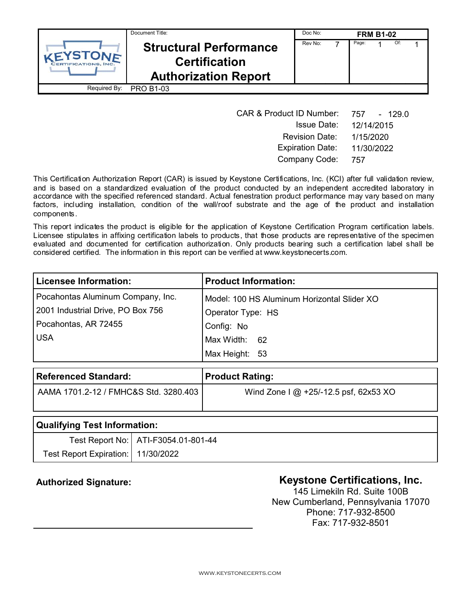| Document Title:                       |                                                                                      | Doc No:<br><b>FRM B1-02</b> |  |       |  |     |  |  |
|---------------------------------------|--------------------------------------------------------------------------------------|-----------------------------|--|-------|--|-----|--|--|
| VEYSTONE<br><b>RTIFICATIONS, INC.</b> | <b>Structural Performance</b><br><b>Certification</b><br><b>Authorization Report</b> | Rev No:                     |  | Page: |  | Of: |  |  |
| Required By:                          | <b>PRO B1-03</b>                                                                     |                             |  |       |  |     |  |  |

| <b>CAR &amp; Product ID Number:</b> | 757<br>- 129.0 |
|-------------------------------------|----------------|
| <b>Issue Date:</b>                  | 12/14/2015     |
| <b>Revision Date:</b>               | 1/15/2020      |
| <b>Expiration Date:</b>             | 11/30/2022     |
| Company Code:                       | 757            |

This Certification Authorization Report (CAR) is issued by Keystone Certifications, Inc. (KCI) after full validation review, and is based on a standardized evaluation of the product conducted by an independent accredited laboratory in accordance with the specified referenced standard. Actual fenestration product performance may vary based on many factors, including installation, condition of the wall/roof substrate and the age of the product and installation components.

This report indicates the product is eligible for the application of Keystone Certification Program certification labels. Licensee stipulates in affixing certification labels to products, that those products are representative of the specimen evaluated and documented for certification authorization. Only products bearing such a certification label shall be considered certified. The information in this report can be verified at www.keystonecerts.com.

| <b>Licensee Information:</b>      | <b>Product Information:</b>                 |
|-----------------------------------|---------------------------------------------|
| Pocahontas Aluminum Company, Inc. | Model: 100 HS Aluminum Horizontal Slider XO |
| 2001 Industrial Drive, PO Box 756 | Operator Type: HS                           |
| Pocahontas, AR 72455              | Config: No                                  |
| <b>USA</b>                        | Max Width: 62                               |
|                                   | Max Height: 53                              |

| <b>Referenced Standard:</b>           | <b>Product Rating:</b>                  |
|---------------------------------------|-----------------------------------------|
| AAMA 1701.2-12 / FMHC&S Std. 3280.403 | Wind Zone I $@$ +25/-12.5 psf, 62x53 XO |

| Qualifying Test Information:       |                                       |  |  |  |
|------------------------------------|---------------------------------------|--|--|--|
|                                    | Test Report No:   ATI-F3054.01-801-44 |  |  |  |
| Test Report Expiration: 11/30/2022 |                                       |  |  |  |

# Authorized Signature: **Authorized Signature: Keystone Certifications, Inc.**

145 Limekiln Rd. Suite 100B New Cumberland, Pennsylvania 17070 Phone: 717-932-8500 Fax: 717-932-8501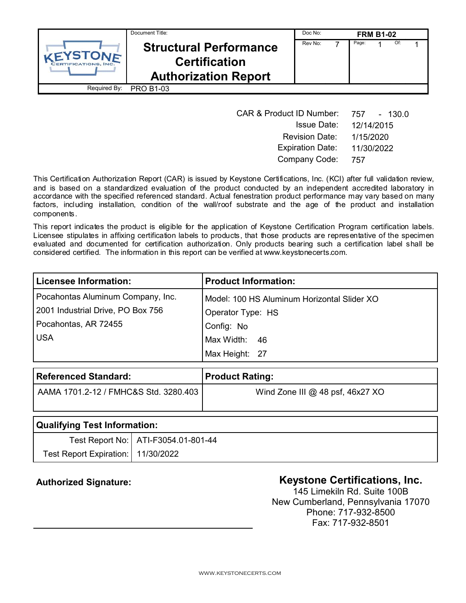| Document Title:                       |                                                                                      | Doc No:<br><b>FRM B1-02</b> |  |       |  |     |  |  |
|---------------------------------------|--------------------------------------------------------------------------------------|-----------------------------|--|-------|--|-----|--|--|
| VEYSTONE<br><b>RTIFICATIONS, INC.</b> | <b>Structural Performance</b><br><b>Certification</b><br><b>Authorization Report</b> | Rev No:                     |  | Page: |  | Of: |  |  |
| Required By:                          | <b>PRO B1-03</b>                                                                     |                             |  |       |  |     |  |  |

| <b>CAR &amp; Product ID Number:</b> | - 130.0<br>757 |
|-------------------------------------|----------------|
| <b>Issue Date:</b>                  | 12/14/2015     |
| <b>Revision Date:</b>               | 1/15/2020      |
| <b>Expiration Date:</b>             | 11/30/2022     |
| Company Code:                       | 757            |

This Certification Authorization Report (CAR) is issued by Keystone Certifications, Inc. (KCI) after full validation review, and is based on a standardized evaluation of the product conducted by an independent accredited laboratory in accordance with the specified referenced standard. Actual fenestration product performance may vary based on many factors, including installation, condition of the wall/roof substrate and the age of the product and installation components.

This report indicates the product is eligible for the application of Keystone Certification Program certification labels. Licensee stipulates in affixing certification labels to products, that those products are representative of the specimen evaluated and documented for certification authorization. Only products bearing such a certification label shall be considered certified. The information in this report can be verified at www.keystonecerts.com.

| <b>Licensee Information:</b>      | <b>Product Information:</b>                 |
|-----------------------------------|---------------------------------------------|
| Pocahontas Aluminum Company, Inc. | Model: 100 HS Aluminum Horizontal Slider XO |
| 2001 Industrial Drive, PO Box 756 | Operator Type: HS                           |
| Pocahontas, AR 72455              | Config: No                                  |
| <b>USA</b>                        | Max Width: 46                               |
|                                   | Max Height: 27                              |

| <b>Referenced Standard:</b>           | <b>Product Rating:</b>             |
|---------------------------------------|------------------------------------|
| AAMA 1701.2-12 / FMHC&S Std. 3280.403 | Wind Zone III $@$ 48 psf, 46x27 XO |
|                                       |                                    |

| Qualifying Test Information:         |                                       |  |  |  |
|--------------------------------------|---------------------------------------|--|--|--|
|                                      | Test Report No:   ATI-F3054.01-801-44 |  |  |  |
| Test Report Expiration:   11/30/2022 |                                       |  |  |  |

# Authorized Signature: **Authorized Signature: Keystone Certifications, Inc.**

145 Limekiln Rd. Suite 100B New Cumberland, Pennsylvania 17070 Phone: 717-932-8500 Fax: 717-932-8501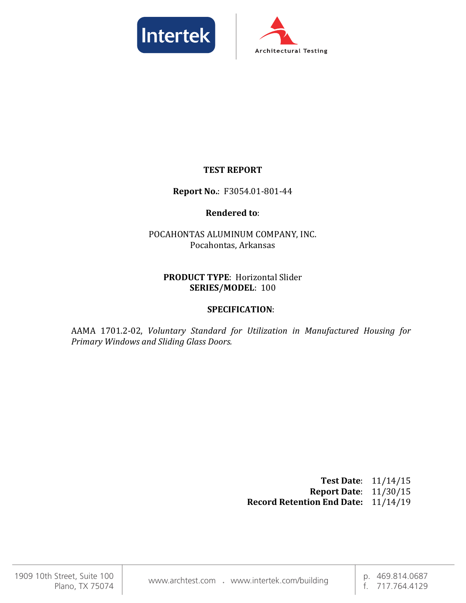



## **TEST REPORT**

### **Report No.**: F3054.01-801-44

### **Rendered to**:

# POCAHONTAS ALUMINUM COMPANY, INC. Pocahontas, Arkansas

### **PRODUCT TYPE**: Horizontal Slider **SERIES/MODEL**: 100

## **SPECIFICATION**:

AAMA 1701.2-02, *Voluntary Standard for Utilization in Manufactured Housing for Primary Windows and Sliding Glass Doors.*

> **Test Date**: 11/14/15 **Report Date**: 11/30/15 **Record Retention End Date:** 11/14/19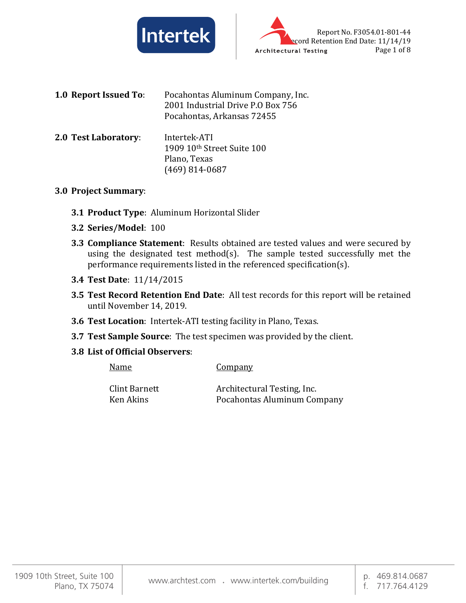



- **1.0 Report Issued To**: Pocahontas Aluminum Company, Inc. 2001 Industrial Drive P.O Box 756 Pocahontas, Arkansas 72455
- **2.0 Test Laboratory**: Intertek-ATI 1909 10th Street Suite 100 Plano, Texas (469) 814-0687

#### **3.0 Project Summary**:

- **3.1 Product Type**: Aluminum Horizontal Slider
- **3.2 Series/Model**: 100
- **3.3 Compliance Statement**: Results obtained are tested values and were secured by using the designated test method(s). The sample tested successfully met the performance requirements listed in the referenced specification(s).
- **3.4 Test Date**: 11/14/2015
- **3.5 Test Record Retention End Date**: All test records for this report will be retained until November 14, 2019.
- **3.6 Test Location**: Intertek-ATI testing facility in Plano, Texas.
- **3.7 Test Sample Source**: The test specimen was provided by the client.
- **3.8 List of Official Observers**:

| Name          | <b>Company</b>              |
|---------------|-----------------------------|
| Clint Barnett | Architectural Testing, Inc. |
| Ken Akins     | Pocahontas Aluminum Company |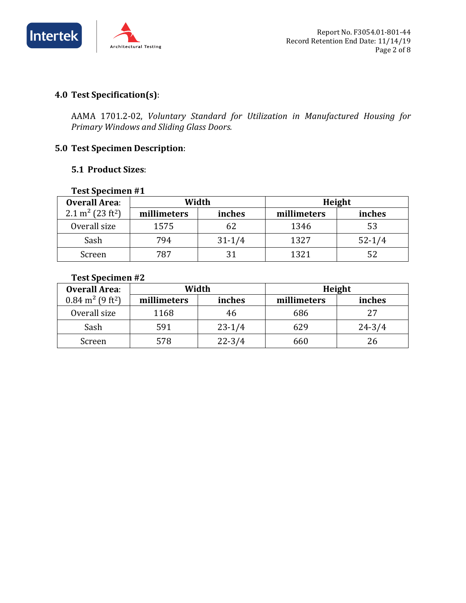

# **4.0 Test Specification(s)**:

AAMA 1701.2-02, *Voluntary Standard for Utilization in Manufactured Housing for Primary Windows and Sliding Glass Doors.*

## **5.0 Test Specimen Description**:

#### **5.1 Product Sizes**:

#### **Test Specimen #1**

| <b>Overall Area:</b>                     |             | Width<br>Height |             |            |
|------------------------------------------|-------------|-----------------|-------------|------------|
| 2.1 m <sup>2</sup> (23 ft <sup>2</sup> ) | millimeters | inches          | millimeters | inches     |
| Overall size                             | 1575        |                 | 1346        | 53         |
| Sash                                     | 794         | $31 - 1/4$      | 1327        | $52 - 1/4$ |
| Screen                                   | 787         |                 | 1321        |            |

### **Test Specimen #2**

| <b>Overall Area:</b>                    | Width       |            | Height      |            |  |
|-----------------------------------------|-------------|------------|-------------|------------|--|
| $0.84 \text{ m}^2$ (9 ft <sup>2</sup> ) | millimeters | inches     | millimeters | inches     |  |
| Overall size                            | 1168        |            | 686         | 27         |  |
| Sash                                    | 591         | $23-1/4$   | 629         | $24 - 3/4$ |  |
| Screen                                  | 578         | $22 - 3/4$ | 660         | 26         |  |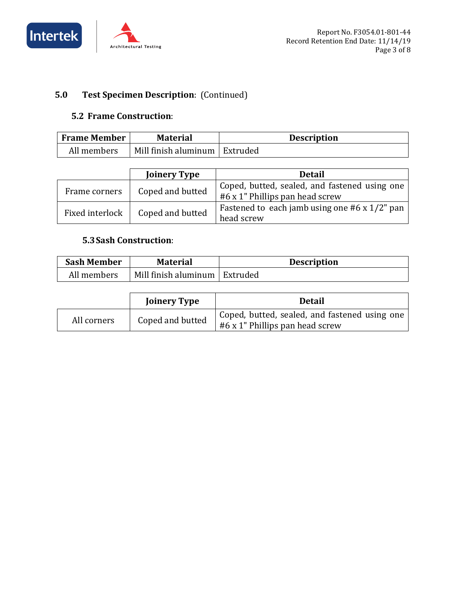



# **5.0 Test Specimen Description**: (Continued)

#### **5.2 Frame Construction**:

| <b>Frame Member</b> | <b>Material</b>                 | <b>Description</b> |
|---------------------|---------------------------------|--------------------|
| All members         | Mill finish aluminum   Extruded |                    |

|                 | <b>Joinery Type</b> | <b>Detail</b>                                                                    |
|-----------------|---------------------|----------------------------------------------------------------------------------|
| Frame corners   | Coped and butted    | Coped, butted, sealed, and fastened using one<br>#6 x 1" Phillips pan head screw |
| Fixed interlock | Coped and butted    | Fastened to each jamb using one $#6 \times 1/2"$ pan<br>head screw               |

# **5.3Sash Construction**:

| <b>Sash Member</b> | <b>Material</b>                 | <b>Description</b> |
|--------------------|---------------------------------|--------------------|
| All members        | Mill finish aluminum   Extruded |                    |

|             | <b>Joinery Type</b> | <b>Detail</b>                                                                                 |
|-------------|---------------------|-----------------------------------------------------------------------------------------------|
| All corners | Coped and butted    | <sup>1</sup> Coped, butted, sealed, and fastened using one<br>#6 x 1" Phillips pan head screw |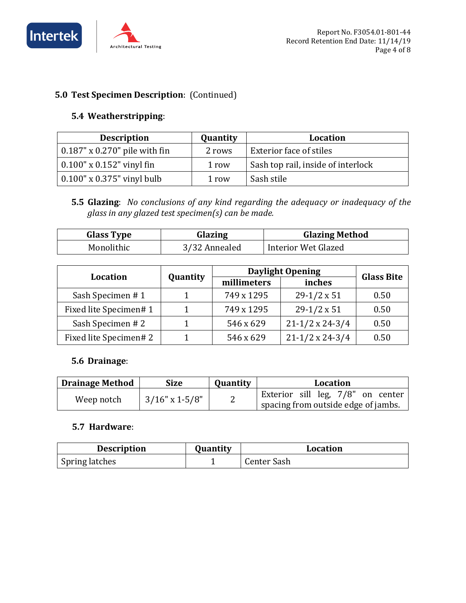



# **5.0 Test Specimen Description**: (Continued)

# **5.4 Weatherstripping**:

| <b>Description</b>                       | Quantity | <b>Location</b>                    |
|------------------------------------------|----------|------------------------------------|
| $\vert$ 0.187" x 0.270" pile with fin    | 2 rows   | Exterior face of stiles            |
| $\vert 0.100'' \times 0.152''$ vinyl fin | 1 row    | Sash top rail, inside of interlock |
| $\vert$ 0.100" x 0.375" vinyl bulb       | 1 row    | Sash stile                         |

**5.5 Glazing**: *No conclusions of any kind regarding the adequacy or inadequacy of the glass in any glazed test specimen(s) can be made.*

| <b>Glass Type</b> | Glazing       | <b>Glazing Method</b> |
|-------------------|---------------|-----------------------|
| Monolithic        | 3/32 Annealed | Interior Wet Glazed   |

| <b>Location</b>        |          | <b>Daylight Opening</b> | <b>Glass Bite</b>      |      |
|------------------------|----------|-------------------------|------------------------|------|
|                        | Quantity | millimeters             | inches                 |      |
| Sash Specimen #1       |          | 749 x 1295              | $29-1/2 \times 51$     | 0.50 |
| Fixed lite Specimen# 1 |          | 749 x 1295              | $29-1/2 \times 51$     | 0.50 |
| Sash Specimen #2       |          | 546 x 629               | $21-1/2 \times 24-3/4$ | 0.50 |
| Fixed lite Specimen# 2 |          | 546 x 629               | $21-1/2 \times 24-3/4$ | 0.50 |

## **5.6 Drainage**:

| <b>Drainage Method</b> | <b>Size</b>       | <b>Quantity</b> | Location                                                                 |
|------------------------|-------------------|-----------------|--------------------------------------------------------------------------|
| Weep notch             | $3/16$ " x 1-5/8" | -               | Exterior sill leg, 7/8" on center<br>spacing from outside edge of jambs. |

#### **5.7 Hardware**:

| <b>Description</b>    | <b>Ouantity</b> | <b>Location</b> |
|-----------------------|-----------------|-----------------|
| <b>Spring latches</b> |                 | Center Sash     |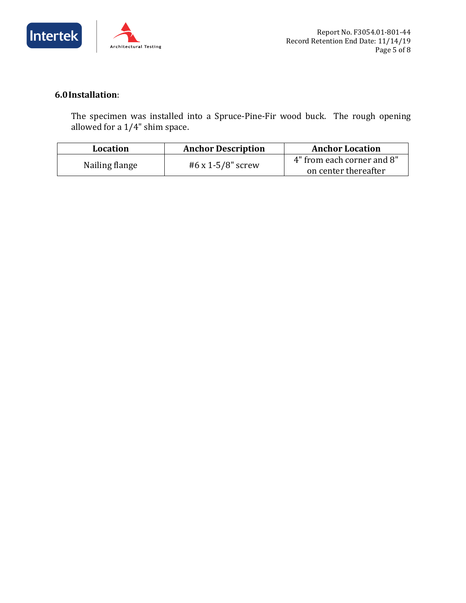



# **6.0Installation**:

The specimen was installed into a Spruce-Pine-Fir wood buck. The rough opening allowed for a 1/4" shim space.

| Location       | <b>Anchor Description</b> | <b>Anchor Location</b>     |  |
|----------------|---------------------------|----------------------------|--|
| Nailing flange |                           | 4" from each corner and 8" |  |
|                | #6 x 1-5/8" screw         | on center thereafter       |  |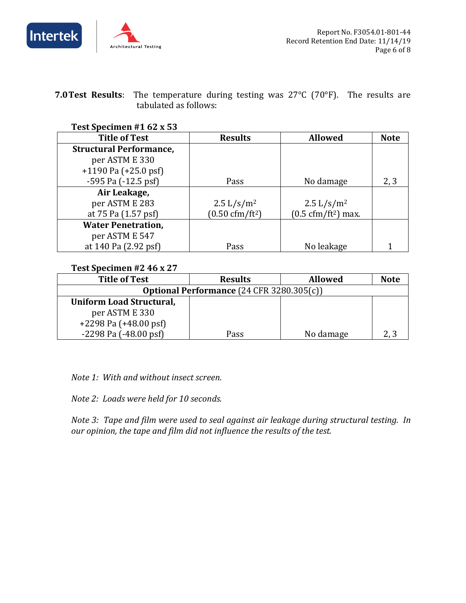



**7.0Test Results**: The temperature during testing was 27°C (70°F). The results are tabulated as follows:

#### **Test Specimen #1 62 x 53**

| <b>Title of Test</b>           | <b>Results</b>                              | <b>Allowed</b>                              | <b>Note</b> |
|--------------------------------|---------------------------------------------|---------------------------------------------|-------------|
| <b>Structural Performance,</b> |                                             |                                             |             |
| per ASTM E 330                 |                                             |                                             |             |
| $+1190$ Pa ( $+25.0$ psf)      |                                             |                                             |             |
| -595 Pa (-12.5 psf)            | Pass                                        | No damage                                   | 2, 3        |
| Air Leakage,                   |                                             |                                             |             |
| per ASTM E 283                 | $2.5 \frac{\text{L}}{\text{s}} \text{/m}^2$ | $2.5 \frac{\text{L}}{\text{s}} \text{/m}^2$ |             |
| at 75 Pa (1.57 psf)            | $(0.50 \text{ cfm}/\text{ft}^2)$            | $(0.5 \text{ cfm}/\text{ft}^2)$ max.        |             |
| <b>Water Penetration,</b>      |                                             |                                             |             |
| per ASTM E 547                 |                                             |                                             |             |
| at 140 Pa (2.92 psf)           | Pass                                        | No leakage                                  |             |

#### **Test Specimen #2 46 x 27**

| <b>Title of Test</b>                      | <b>Results</b> | <b>Allowed</b> | <b>Note</b> |
|-------------------------------------------|----------------|----------------|-------------|
| Optional Performance (24 CFR 3280.305(c)) |                |                |             |
| <b>Uniform Load Structural,</b>           |                |                |             |
| per ASTM E 330                            |                |                |             |
| $+2298$ Pa $(+48.00$ psf                  |                |                |             |
| $-2298$ Pa $(-48.00$ psf                  | Pass           | No damage      |             |

*Note 1: With and without insect screen.*

*Note 2: Loads were held for 10 seconds.*

*Note 3: Tape and film were used to seal against air leakage during structural testing. In our opinion, the tape and film did not influence the results of the test.*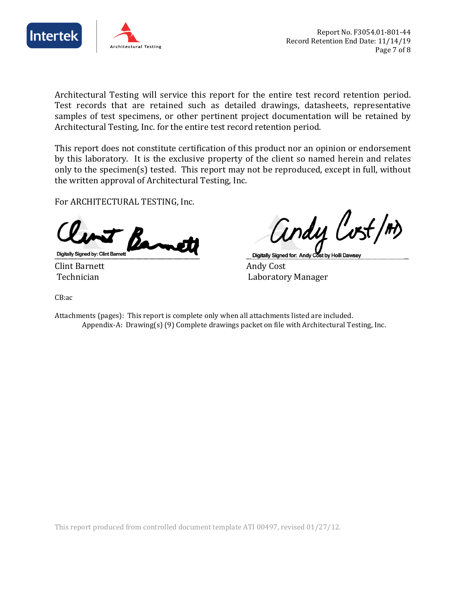



Architectural Testing will service this report for the entire test record retention period. Test records that are retained such as detailed drawings, datasheets, representative samples of test specimens, or other pertinent project documentation will be retained by Architectural Testing, Inc. for the entire test record retention period.

This report does not constitute certification of this product nor an opinion or endorsement by this laboratory. It is the exclusive property of the client so named herein and relates only to the specimen(s) tested. This report may not be reproduced, except in full, without the written approval of Architectural Testing, Inc.

For ARCHITECTURAL TESTING, Inc.



Clint Barnett<br>Technician

andy Cost/m)

Digitally Signed by: Clint Barnett<br>Clint Barnett Andy Cost

Laboratory Manager

CB:ac

Attachments (pages): This report is complete only when all attachments listed are included. Appendix-A: Drawing(s) (9) Complete drawings packet on file with Architectural Testing, Inc.

This report produced from controlled document template ATI 00497, revised 01/27/12.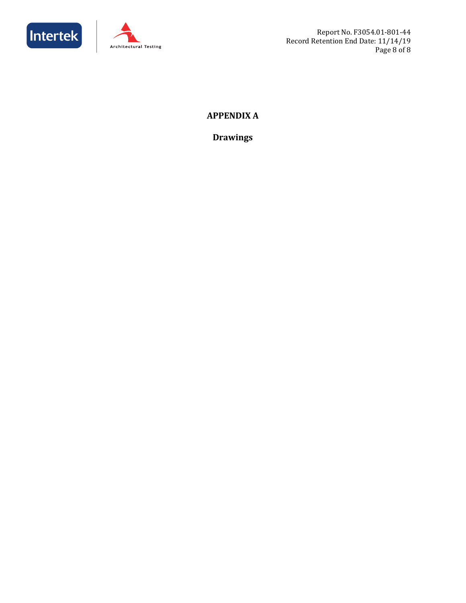



Report No. F3054.01-801-44 Record Retention End Date: 11/14/19 Page 8 of 8

# **APPENDIX A**

**Drawings**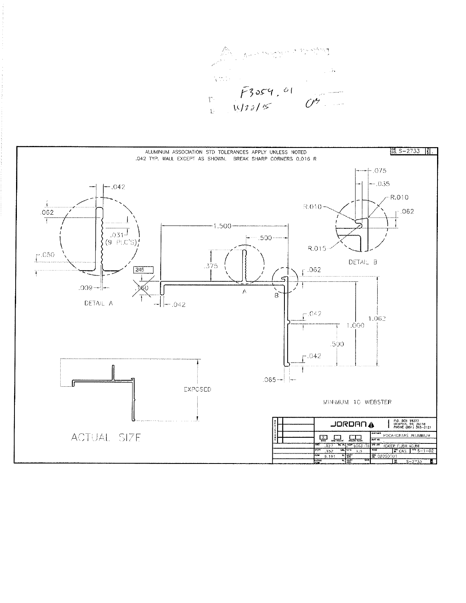And Anyways Strategy

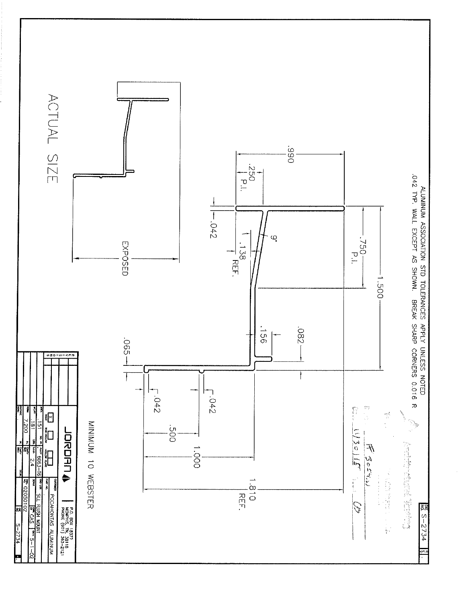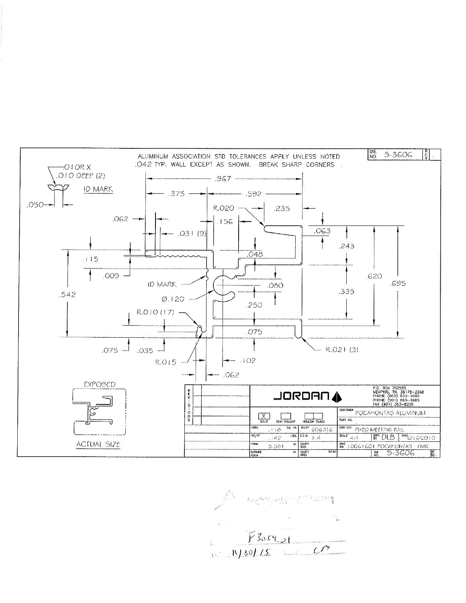$\sqrt{\frac{DE}{NO}}$ हि 5-3606 ALUMINUM ASSOCIATION STD TOLERANCES APPLY UNLESS NOTED  $\ddot{\phantom{a}}$ .042 TYP. WALL EXCEPT AS SHOWN. BREAK SHARP CORNERS.  $-010RX$ .O I O DEEP (2) - 967 -ID MARK .375  $-0.592 .050-$ **R.020** .235 أسبب  $.062$   $\rightarrow$  $.156$ .063  $-.031(9)$  $.243$  $048$  $.115$  $.009 -$ .620 .695 ID MARK - $.080$ .335  $.542$  $\varnothing$ . | 20  $.250$ R.O.IO (17) -.075 لــ 035.  $.075 -$  R.O21 (3)  $-102$ R.O.15 - $-062$ **EXPOSED** P.O. BOX 752268<br>MEMPHIS, TN, 38175-2268<br>PHONE (800) 833-4590<br>PHONE (901) 865-2665<br>FAX (901) 363-8226  $0.20 - 0 - 0.70$ JORDAN 4 CUSTOHER POCATIONTAS ALUMENUM  $\left[\frac{X}{\text{SOLD}}\right]$  $\Box$  $\prod_{\text{boundary}}$ PART NO. **SQ. BY.** ALLOY 606316 END USE FIXED MEETING FAIL **AREA**  $118$  $EBS, C.C.D.$  $\overline{W/T}$ SCALE 4:1 BW DLB MEG/16/2010  $, 142$ **PERTY ME 10061601 POCAHONTAS FMR**<br>RE 5-3606 **ACTUAL SIZE**  $R$   $\overline{G}$   $\overline{G}$   $\overline{G}$   $\overline{G}$   $\overline{G}$   $\overline{G}$   $\overline{G}$   $\overline{G}$   $\overline{G}$   $\overline{G}$   $\overline{G}$   $\overline{G}$   $\overline{G}$   $\overline{G}$   $\overline{G}$   $\overline{G}$   $\overline{G}$   $\overline{G}$   $\overline{G}$   $\overline{G}$   $\overline{G}$   $\overline{G}$   $\overline{G}$   $\overline{G}$   $5.581$ **CUTSIDE BI.** CAVITY  $\overline{\text{so}}$ r  $\mathbb{F}$ 

A recommended  $\frac{1}{2}$  ,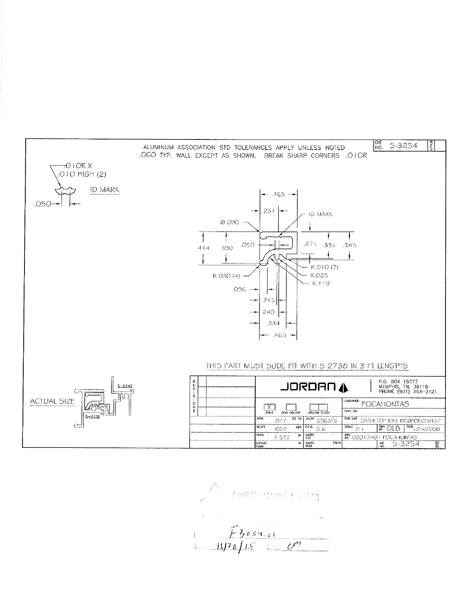

Friday<br>1. Freezes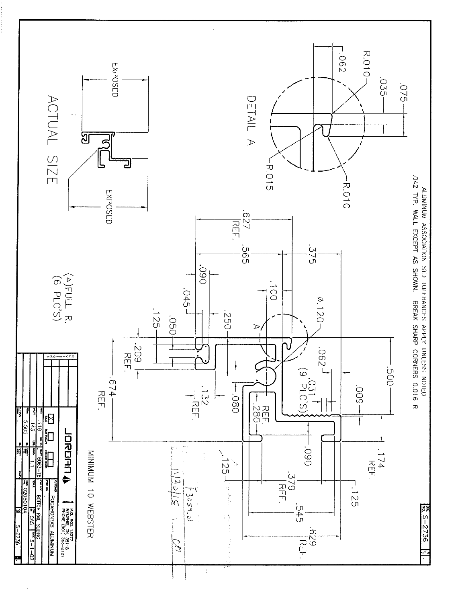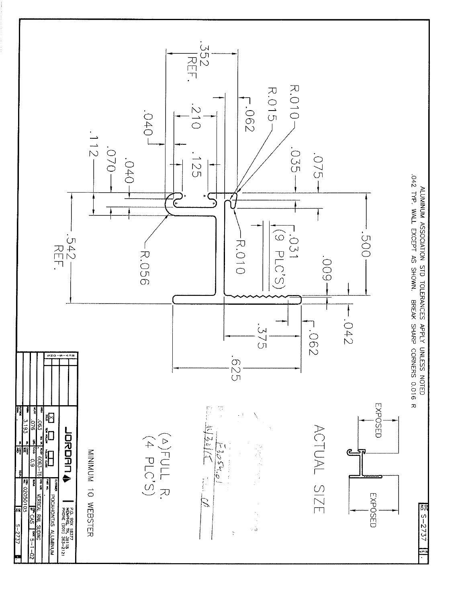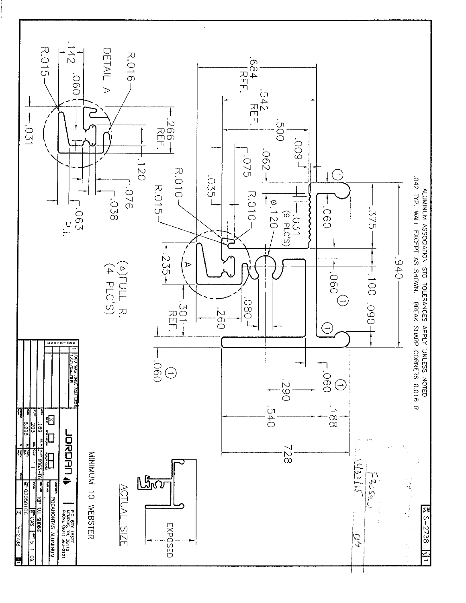